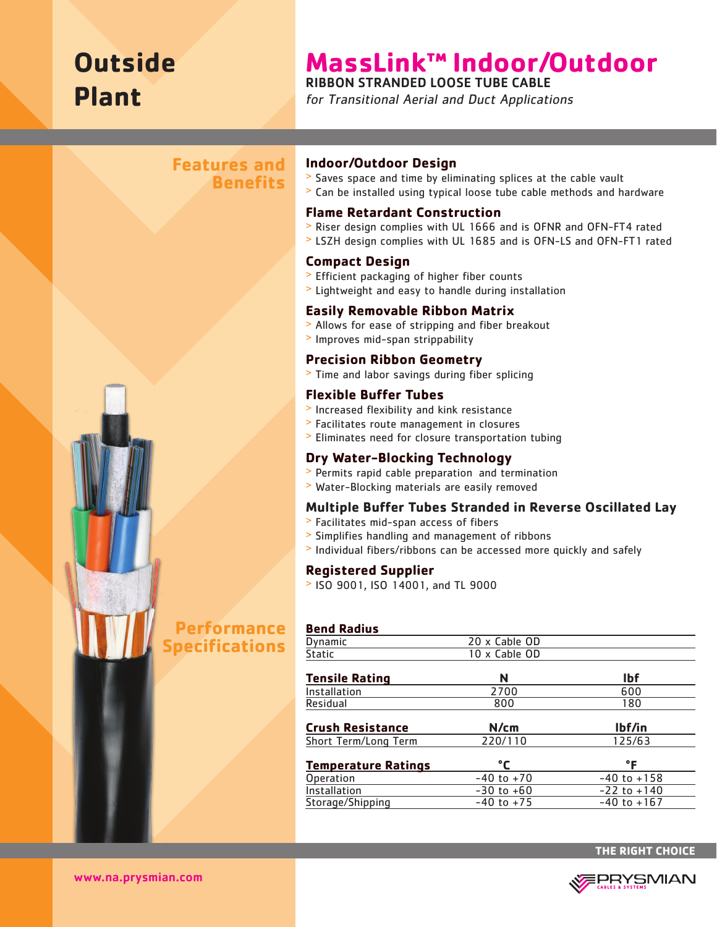# **Outside Plant**

# **MassLink™ Indoor/Outdoor**

RIBBON STRANDED LOOSE TUBE CABLE

for Transitional Aerial and Duct Applications

# **Features and Benefits**



# **Performance Specifications**

#### **Indoor/Outdoor Design**

- > Saves space and time by eliminating splices at the cable vault
- > Can be installed using typical loose tube cable methods and hardware

#### **Flame Retardant Construction**

- > Riser design complies with UL 1666 and is OFNR and OFN-FT4 rated
- > LSZH design complies with UL 1685 and is OFN-LS and OFN-FT1 rated

#### **Compact Design**

- > Efficient packaging of higher fiber counts
- > Lightweight and easy to handle during installation

#### **Easily Removable Ribbon Matrix**

- > Allows for ease of stripping and fiber breakout
- > Improves mid-span strippability

#### **Precision Ribbon Geometry**

> Time and labor savings during fiber splicing

#### **Flexible Buffer Tubes**

- > Increased flexibility and kink resistance
- > Facilitates route management in closures
- > Eliminates need for closure transportation tubing

#### **Dry Water-Blocking Technology**

- > Permits rapid cable preparation and termination
- > Water-Blocking materials are easily removed

#### **Multiple Buffer Tubes Stranded in Reverse Oscillated Lay**

- > Facilitates mid-span access of fibers
- > Simplifies handling and management of ribbons
- > Individual fibers/ribbons can be accessed more quickly and safely

#### **Registered Supplier**

> ISO 9001, ISO 14001, and TL 9000

#### **Bend Radius**

| Dynamic                    | 20 x Cable OD  |                 |
|----------------------------|----------------|-----------------|
| Static                     | 10 x Cable OD  |                 |
| <b>Tensile Rating</b>      | N              | <b>Ibf</b>      |
| Installation               | 2700           | 600             |
| Residual                   | 800            | 180             |
| <b>Crush Resistance</b>    | N/cm           | lbf/in          |
| Short Term/Long Term       | 220/110        | 125/63          |
| <b>Temperature Ratings</b> | °ſ             | °F              |
| Operation                  | $-40$ to $+70$ | $-40$ to $+158$ |
| Installation               | $-30$ to $+60$ | $-22$ to $+140$ |
| Storage/Shipping           | $-40$ to $+75$ | $-40$ to $+167$ |



www.na.prysmian.com